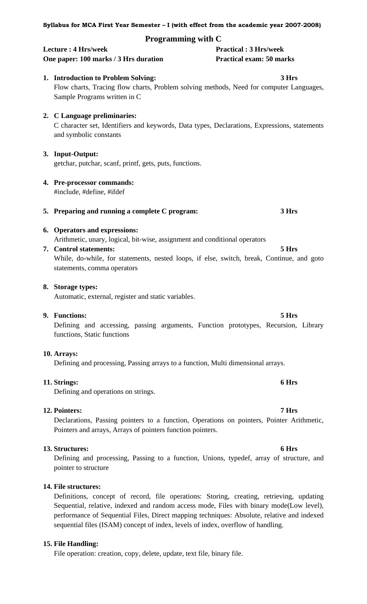| Flow charts, Tracing flow charts, Problem solving methods, Need for computer Languages,<br>Sample Programs written in C                                                                                                                                                                                                                                                                        |
|------------------------------------------------------------------------------------------------------------------------------------------------------------------------------------------------------------------------------------------------------------------------------------------------------------------------------------------------------------------------------------------------|
| 2. C Language preliminaries:<br>C character set, Identifiers and keywords, Data types, Declarations, Expressions, statements<br>and symbolic constants                                                                                                                                                                                                                                         |
| 3. Input-Output:<br>getchar, putchar, scanf, printf, gets, puts, functions.                                                                                                                                                                                                                                                                                                                    |
| 4. Pre-processor commands:<br>#include, #define, #ifdef                                                                                                                                                                                                                                                                                                                                        |
| 5. Preparing and running a complete C program:<br>3 Hrs                                                                                                                                                                                                                                                                                                                                        |
| 6. Operators and expressions:<br>Arithmetic, unary, logical, bit-wise, assignment and conditional operators<br>7. Control statements:<br>5 Hrs<br>While, do-while, for statements, nested loops, if else, switch, break, Continue, and goto<br>statements, comma operators                                                                                                                     |
| 8. Storage types:<br>Automatic, external, register and static variables.                                                                                                                                                                                                                                                                                                                       |
| 5 Hrs<br>9. Functions:<br>Defining and accessing, passing arguments, Function prototypes, Recursion, Library<br>functions, Static functions                                                                                                                                                                                                                                                    |
| 10. Arrays:<br>Defining and processing, Passing arrays to a function, Multi dimensional arrays.                                                                                                                                                                                                                                                                                                |
| 11. Strings:<br>6 Hrs<br>Defining and operations on strings.                                                                                                                                                                                                                                                                                                                                   |
| 12. Pointers:<br>7 Hrs<br>Declarations, Passing pointers to a function, Operations on pointers, Pointer Arithmetic,<br>Pointers and arrays, Arrays of pointers function pointers.                                                                                                                                                                                                              |
| 13. Structures:<br>6 Hrs<br>Defining and processing, Passing to a function, Unions, typedef, array of structure, and<br>pointer to structure                                                                                                                                                                                                                                                   |
| 14. File structures:<br>Definitions, concept of record, file operations: Storing, creating, retrieving, updating<br>Sequential, relative, indexed and random access mode, Files with binary mode(Low level),<br>performance of Sequential Files, Direct mapping techniques: Absolute, relative and indexed<br>sequential files (ISAM) concept of index, levels of index, overflow of handling. |

# **15. File Handling:**

File operation: creation, copy, delete, update, text file, binary file.

**Syllabus for MCA First Year Semester – I (with effect from the academic year 2007-2008) Programming with C** 

# **Lecture : 4 Hrs/week Practical : 3 Hrs/week One paper: 100 marks / 3 Hrs duration Practical exam: 50 marks**

**1. Introduction to Problem Solving: 3 Hrs** 

# **3. Input-Output:**

# **6. Operators and expressions:**

# **8. Storage types:**

# **10. Arrays:**

# **14.**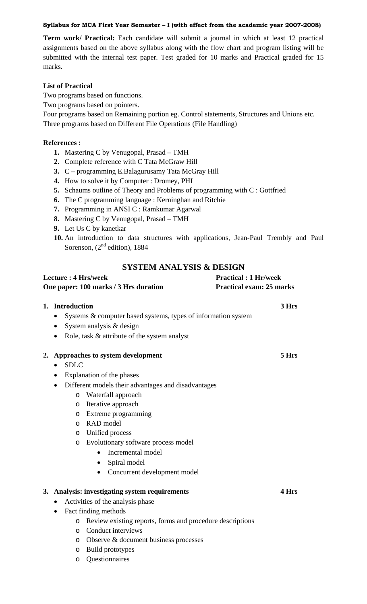**Term work/ Practical:** Each candidate will submit a journal in which at least 12 practical assignments based on the above syllabus along with the flow chart and program listing will be submitted with the internal test paper. Test graded for 10 marks and Practical graded for 15 marks.

# **List of Practical**

Two programs based on functions.

Two programs based on pointers.

Four programs based on Remaining portion eg. Control statements, Structures and Unions etc. Three programs based on Different File Operations (File Handling)

# **References :**

- **1.** Mastering C by Venugopal, Prasad TMH
- **2.** Complete reference with C Tata McGraw Hill
- **3.** C programming E.Balagurusamy Tata McGray Hill
- **4.** How to solve it by Computer : Dromey, PHI
- **5.** Schaums outline of Theory and Problems of programming with C : Gottfried
- **6.** The C programming language : Kerninghan and Ritchie
- **7.** Programming in ANSI C : Ramkumar Agarwal
- **8.** Mastering C by Venugopal, Prasad TMH
- **9.** Let Us C by kanetkar
- **10.** An introduction to data structures with applications, Jean-Paul Trembly and Paul Sorenson,  $(2<sup>nd</sup>$  edition), 1884

# **SYSTEM ANALYSIS & DESIGN**

| <b>Lecture: 4 Hrs/week</b> |                                                                                                                                                                                                                                                                                                             | <b>Practical: 1 Hr/week</b>     |  |
|----------------------------|-------------------------------------------------------------------------------------------------------------------------------------------------------------------------------------------------------------------------------------------------------------------------------------------------------------|---------------------------------|--|
|                            | One paper: 100 marks / 3 Hrs duration                                                                                                                                                                                                                                                                       | <b>Practical exam: 25 marks</b> |  |
|                            | 1. Introduction<br>Systems & computer based systems, types of information system<br>System analysis & design<br>$\bullet$<br>Role, task & attribute of the system analyst<br>$\bullet$                                                                                                                      | 3 Hrs                           |  |
|                            | 2. Approaches to system development<br><b>SDLC</b><br>$\bullet$<br>Explanation of the phases<br>$\bullet$<br>Different models their advantages and disadvantages<br>$\bullet$<br>Waterfall approach<br>$\circ$<br>Iterative approach<br>$\circ$<br>Extreme programming<br>$\circ$<br>RAD model<br>$\circ$   | 5 Hrs                           |  |
|                            | Unified process<br>$\circ$<br>Evolutionary software process model<br>$\circ$<br>Incremental model<br>$\bullet$<br>Spiral model<br>$\bullet$<br>Concurrent development model<br>$\bullet$                                                                                                                    |                                 |  |
| 3.                         | Analysis: investigating system requirements<br>Activities of the analysis phase<br>$\bullet$<br>Fact finding methods<br>$\bullet$<br>Review existing reports, forms and procedure descriptions<br>O<br>Conduct interviews<br>$\circ$<br>Observe & document business processes<br>O<br>Build prototypes<br>O | 4 Hrs                           |  |
|                            |                                                                                                                                                                                                                                                                                                             |                                 |  |

o Questionnaires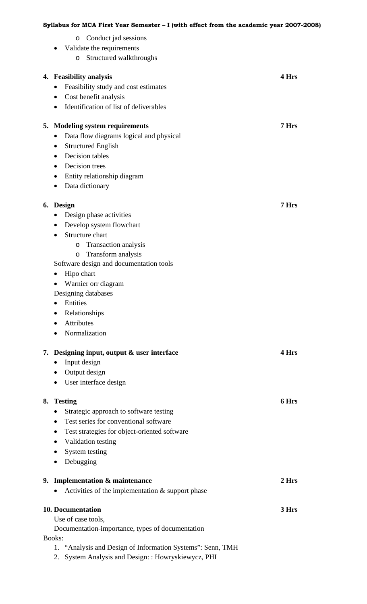|    | Syllabus for MCA First Year Semester - I (with effect from the academic year 2007 |       |
|----|-----------------------------------------------------------------------------------|-------|
|    | Conduct jad sessions<br>O                                                         |       |
|    | Validate the requirements                                                         |       |
|    | Structured walkthroughs<br>$\circ$                                                |       |
|    | 4. Feasibility analysis                                                           | 4 Hrs |
|    | Feasibility study and cost estimates                                              |       |
|    | Cost benefit analysis<br>$\bullet$                                                |       |
|    | Identification of list of deliverables<br>$\bullet$                               |       |
|    | 5. Modeling system requirements                                                   | 7 Hrs |
|    | Data flow diagrams logical and physical<br>$\bullet$                              |       |
|    | <b>Structured English</b><br>$\bullet$                                            |       |
|    | Decision tables                                                                   |       |
|    | Decision trees<br>$\bullet$                                                       |       |
|    | Entity relationship diagram<br>$\bullet$                                          |       |
|    | Data dictionary<br>$\bullet$                                                      |       |
| 6. | Design                                                                            | 7 Hrs |
|    | Design phase activities<br>$\bullet$                                              |       |
|    | Develop system flowchart                                                          |       |
|    | Structure chart                                                                   |       |
|    | Transaction analysis<br>O                                                         |       |
|    | Transform analysis<br>O                                                           |       |
|    | Software design and documentation tools                                           |       |
|    | Hipo chart<br>٠                                                                   |       |
|    | Warnier orr diagram                                                               |       |
|    | Designing databases                                                               |       |
|    | Entities                                                                          |       |
|    | Relationships                                                                     |       |
|    | <b>Attributes</b>                                                                 |       |
|    | Normalization                                                                     |       |
|    | 7. Designing input, output & user interface                                       | 4 Hrs |
|    | Input design                                                                      |       |
|    | Output design                                                                     |       |
|    | User interface design                                                             |       |
| 8. | <b>Testing</b>                                                                    | 6 Hrs |
|    | Strategic approach to software testing                                            |       |
|    | Test series for conventional software                                             |       |
|    | Test strategies for object-oriented software<br>$\bullet$                         |       |
|    | Validation testing<br>$\bullet$                                                   |       |
|    | System testing                                                                    |       |
|    | Debugging                                                                         |       |
|    | 9. Implementation & maintenance                                                   | 2 Hrs |
|    | Activities of the implementation $\&$ support phase                               |       |
|    | 10. Documentation                                                                 | 3 Hrs |
|    | Use of case tools,                                                                |       |
|    |                                                                                   |       |

Documentation-importance, types of documentation

# Books:

- 1. "Analysis and Design of Information Systems": Senn, TMH
- 2. System Analysis and Design: : Howryskiewycz, PHI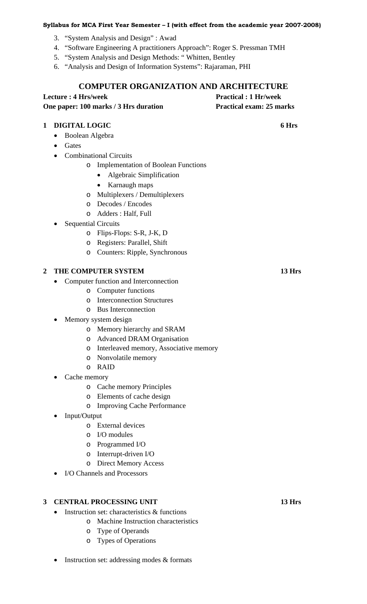- 3. "System Analysis and Design" : Awad
- 4. "Software Engineering A practitioners Approach": Roger S. Pressman TMH
- 5. "System Analysis and Design Methods: " Whitten, Bentley
- 6. "Analysis and Design of Information Systems": Rajaraman, PHI

# **COMPUTER ORGANIZATION AND ARCHITECTURE**

**Lecture : 4 Hrs/week Practical : 1 Hr/week One paper: 100 marks / 3 Hrs duration Practical exam: 25 marks** 

### **1 DIGITAL LOGIC 6 Hrs**

- Boolean Algebra
- Gates
- Combinational Circuits
	- o Implementation of Boolean Functions
		- Algebraic Simplification
		- Karnaugh maps
	- o Multiplexers / Demultiplexers
	- o Decodes / Encodes
	- o Adders : Half, Full
- Sequential Circuits
	- o Flips-Flops: S-R, J-K, D
	- o Registers: Parallel, Shift
	- o Counters: Ripple, Synchronous

### **2 THE COMPUTER SYSTEM 13 Hrs**

- Computer function and Interconnection
	- o Computer functions
	- o Interconnection Structures
	- o Bus Interconnection
- Memory system design
	- o Memory hierarchy and SRAM
	- o Advanced DRAM Organisation
	- o Interleaved memory, Associative memory
	- o Nonvolatile memory
	- o RAID
- Cache memory
	- o Cache memory Principles
	- o Elements of cache design
	- o Improving Cache Performance
- Input/Output
	- o External devices
	- o I/O modules
	- o Programmed I/O
	- o Interrupt-driven I/O
	- o Direct Memory Access
- I/O Channels and Processors

# **3 CENTRAL PROCESSING UNIT 13 Hrs**

- Instruction set: characteristics & functions
	- o Machine Instruction characteristics
	- o Type of Operands
	- o Types of Operations
- Instruction set: addressing modes & formats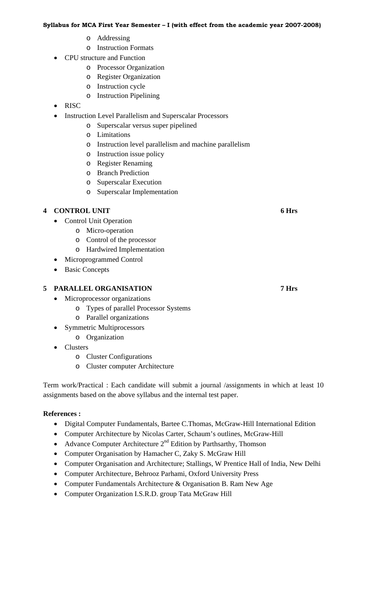- o Addressing
- o Instruction Formats
- CPU structure and Function
	- o Processor Organization
	- o Register Organization
	- o Instruction cycle
	- o Instruction Pipelining
- RISC
- Instruction Level Parallelism and Superscalar Processors
	- o Superscalar versus super pipelined
	- o Limitations
	- o Instruction level parallelism and machine parallelism
	- o Instruction issue policy
	- o Register Renaming
	- o Branch Prediction
	- o Superscalar Execution
	- o Superscalar Implementation

# **4 CONTROL UNIT 6 Hrs**

- Control Unit Operation
	- o Micro-operation
	- o Control of the processor
	- o Hardwired Implementation
- Microprogrammed Control
- Basic Concepts

# **5 PARALLEL ORGANISATION 7 Hrs**

- Microprocessor organizations
	- o Types of parallel Processor Systems
	- o Parallel organizations
- Symmetric Multiprocessors
	- o Organization
- Clusters
	- o Cluster Configurations
	- o Cluster computer Architecture

Term work/Practical : Each candidate will submit a journal /assignments in which at least 10 assignments based on the above syllabus and the internal test paper.

# **References :**

- Digital Computer Fundamentals, Bartee C.Thomas, McGraw-Hill International Edition
- Computer Architecture by Nicolas Carter, Schaum's outlines, McGraw-Hill
- Advance Computer Architecture  $2<sup>nd</sup>$  Edition by Parthsarthy, Thomson
- Computer Organisation by Hamacher C, Zaky S. McGraw Hill
- Computer Organisation and Architecture; Stallings, W Prentice Hall of India, New Delhi
- Computer Architecture, Behrooz Parhami, Oxford University Press
- Computer Fundamentals Architecture & Organisation B. Ram New Age
- Computer Organization I.S.R.D. group Tata McGraw Hill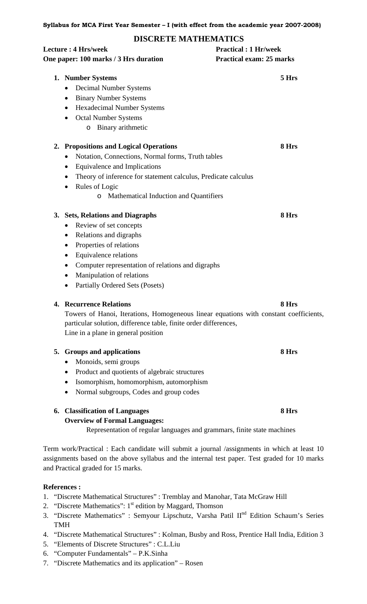# **DISCRETE MATHEMATICS**

| <b>Lecture: 4 Hrs/week</b><br>One paper: 100 marks / 3 Hrs duration |                                                                                                                                                                                                                                                                                                                        | <b>Practical : 1 Hr/week</b><br><b>Practical exam: 25 marks</b>                                |  |
|---------------------------------------------------------------------|------------------------------------------------------------------------------------------------------------------------------------------------------------------------------------------------------------------------------------------------------------------------------------------------------------------------|------------------------------------------------------------------------------------------------|--|
|                                                                     | 1. Number Systems<br>Decimal Number Systems<br><b>Binary Number Systems</b><br>$\bullet$<br>Hexadecimal Number Systems<br>$\bullet$<br><b>Octal Number Systems</b><br>$\bullet$<br>Binary arithmetic<br>$\circ$                                                                                                        | 5 Hrs                                                                                          |  |
|                                                                     | 2. Propositions and Logical Operations<br>Notation, Connections, Normal forms, Truth tables<br>Equivalence and Implications<br>$\bullet$<br>Theory of inference for statement calculus, Predicate calculus<br>$\bullet$<br>Rules of Logic<br>$\bullet$<br>Mathematical Induction and Quantifiers<br>$\circ$            | 8 Hrs                                                                                          |  |
|                                                                     | 3. Sets, Relations and Diagraphs<br>Review of set concepts<br>$\bullet$<br>Relations and digraphs<br>$\bullet$<br>Properties of relations<br>$\bullet$<br>Equivalence relations<br>Computer representation of relations and digraphs<br>Manipulation of relations<br>٠<br>Partially Ordered Sets (Posets)<br>$\bullet$ | 8 Hrs                                                                                          |  |
|                                                                     | <b>4. Recurrence Relations</b><br>particular solution, difference table, finite order differences,<br>Line in a plane in general position                                                                                                                                                                              | 8 Hrs<br>Towers of Hanoi, Iterations, Homogeneous linear equations with constant coefficients, |  |
| 5.                                                                  | <b>Groups and applications</b><br>Monoids, semi groups<br>Product and quotients of algebraic structures<br>٠<br>Isomorphism, homomorphism, automorphism<br>$\bullet$<br>Normal subgroups, Codes and group codes                                                                                                        | 8 Hrs                                                                                          |  |
| 6.                                                                  | <b>Classification of Languages</b>                                                                                                                                                                                                                                                                                     | 8 Hrs                                                                                          |  |

**Overview of Formal Languages:** 

Representation of regular languages and grammars, finite state machines

Term work/Practical : Each candidate will submit a journal /assignments in which at least 10 assignments based on the above syllabus and the internal test paper. Test graded for 10 marks and Practical graded for 15 marks.

# **References :**

- 1. "Discrete Mathematical Structures" : Tremblay and Manohar, Tata McGraw Hill
- 2. "Discrete Mathematics":  $1<sup>st</sup>$  edition by Maggard, Thomson
- 3. "Discrete Mathematics" : Semyour Lipschutz, Varsha Patil II<sup>nd</sup> Edition Schaum's Series TMH
- 4. "Discrete Mathematical Structures" : Kolman, Busby and Ross, Prentice Hall India, Edition 3
- 5. "Elements of Discrete Structures" : C.L.Liu
- 6. "Computer Fundamentals" P.K.Sinha
- 7. "Discrete Mathematics and its application" Rosen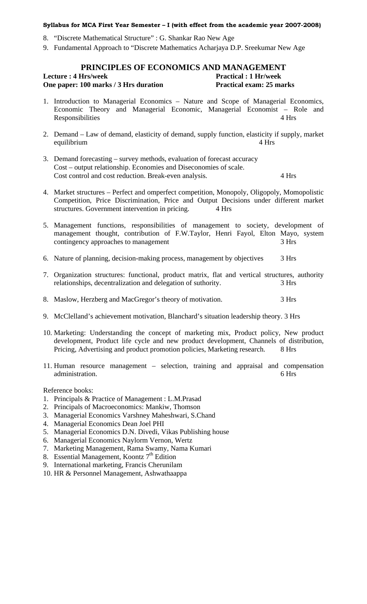- 8. "Discrete Mathematical Structure" : G. Shankar Rao New Age
- 9. Fundamental Approach to "Discrete Mathematics Acharjaya D.P. Sreekumar New Age

# **PRINCIPLES OF ECONOMICS AND MANAGEMENT**

# **One paper: 100 marks / 3 Hrs duration Practical exam: 25 marks**

# **Lecture : 4 Hrs/week Practical : 1 Hr/week**

- 1. Introduction to Managerial Economics Nature and Scope of Managerial Economics, Economic Theory and Managerial Economic, Managerial Economist – Role and Responsibilities 4 Hrs
- 2. Demand Law of demand, elasticity of demand, supply function, elasticity if supply, market equilibrium 4 Hrs
- 3. Demand forecasting survey methods, evaluation of forecast accuracy Cost – output relationship. Economies and Diseconomies of scale. Cost control and cost reduction. Break-even analysis. 4 Hrs
- 4. Market structures Perfect and omperfect competition, Monopoly, Oligopoly, Momopolistic Competition, Price Discrimination, Price and Output Decisions under different market structures. Government intervention in pricing. 4 Hrs
- 5. Management functions, responsibilities of management to society, development of management thought, contribution of F.W.Taylor, Henri Fayol, Elton Mayo, system contingency approaches to management 3 Hrs
- 6. Nature of planning, decision-making process, management by objectives 3 Hrs
- 7. Organization structures: functional, product matrix, flat and vertical structures, authority relationships, decentralization and delegation of suthority. 3 Hrs
- 8. Maslow, Herzberg and MacGregor's theory of motivation. 3 Hrs
- 9. McClelland's achievement motivation, Blanchard's situation leadership theory. 3 Hrs
- 10. Marketing: Understanding the concept of marketing mix, Product policy, New product development, Product life cycle and new product development, Channels of distribution, Pricing, Advertising and product promotion policies, Marketing research. 8 Hrs
- 11. Human resource management selection, training and appraisal and compensation administration. 6 Hrs

Reference books:

- 1. Principals & Practice of Management : L.M.Prasad
- 2. Principals of Macroeconomics: Mankiw, Thomson
- 3. Managerial Economics Varshney Maheshwari, S.Chand
- 4. Managerial Economics Dean Joel PHI
- 5. Managerial Economics D.N. Divedi, Vikas Publishing house
- 6. Managerial Economics Naylorm Vernon, Wertz
- 7. Marketing Management, Rama Swamy, Nama Kumari
- 8. Essential Management, Koontz  $7<sup>th</sup>$  Edition
- 9. International marketing, Francis Cherunilam
- 10. HR & Personnel Management, Ashwathaappa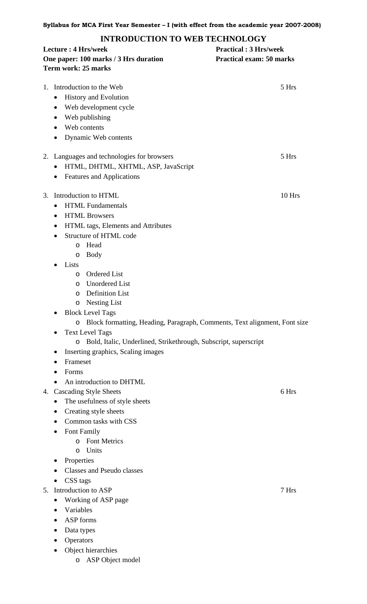| <b>INTRODUCTION TO WEB TECHNOLOGY</b> |                                                                                                                                                                                                                                                                                                                                                                                                                                                                                                                                                                                                                                            |                                                                 |  |  |  |
|---------------------------------------|--------------------------------------------------------------------------------------------------------------------------------------------------------------------------------------------------------------------------------------------------------------------------------------------------------------------------------------------------------------------------------------------------------------------------------------------------------------------------------------------------------------------------------------------------------------------------------------------------------------------------------------------|-----------------------------------------------------------------|--|--|--|
|                                       | <b>Lecture: 4 Hrs/week</b><br>One paper: 100 marks / 3 Hrs duration<br>Term work: 25 marks                                                                                                                                                                                                                                                                                                                                                                                                                                                                                                                                                 | <b>Practical: 3 Hrs/week</b><br><b>Practical exam: 50 marks</b> |  |  |  |
|                                       | 1. Introduction to the Web<br><b>History and Evolution</b><br>٠<br>Web development cycle<br>$\bullet$<br>Web publishing<br>$\bullet$<br>Web contents<br>$\bullet$<br>Dynamic Web contents                                                                                                                                                                                                                                                                                                                                                                                                                                                  | 5 Hrs                                                           |  |  |  |
|                                       | 2. Languages and technologies for browsers<br>HTML, DHTML, XHTML, ASP, JavaScript<br>$\bullet$<br><b>Features and Applications</b>                                                                                                                                                                                                                                                                                                                                                                                                                                                                                                         | 5 Hrs                                                           |  |  |  |
| 3.                                    | Introduction to HTML<br><b>HTML</b> Fundamentals<br>$\bullet$<br><b>HTML Browsers</b><br>$\bullet$<br>HTML tags, Elements and Attributes<br>٠<br>Structure of HTML code<br>Head<br>O<br><b>Body</b><br>O<br>Lists<br>٠<br><b>Ordered List</b><br>O<br><b>Unordered List</b><br>$\circ$<br><b>Definition List</b><br>O<br>o Nesting List<br><b>Block Level Tags</b><br>Block formatting, Heading, Paragraph, Comments, Text alignment, Font size<br>$\circ$<br><b>Text Level Tags</b><br>Bold, Italic, Underlined, Strikethrough, Subscript, superscript<br>$\circ$<br>Inserting graphics, Scaling images<br>Frameset<br>$\bullet$<br>Forms | 10 Hrs                                                          |  |  |  |
| 4.                                    | An introduction to DHTML<br><b>Cascading Style Sheets</b><br>The usefulness of style sheets<br>$\bullet$<br>Creating style sheets<br>$\bullet$<br>Common tasks with CSS<br><b>Font Family</b><br><b>Font Metrics</b><br>$\circ$<br>Units<br>O<br>Properties<br><b>Classes and Pseudo classes</b><br>$\bullet$<br>CSS tags<br>$\bullet$                                                                                                                                                                                                                                                                                                     | 6 Hrs                                                           |  |  |  |
| 5.                                    | Introduction to ASP<br>Working of ASP page<br>Variables<br>$\bullet$<br>ASP forms<br>$\bullet$<br>Data types<br>Operators                                                                                                                                                                                                                                                                                                                                                                                                                                                                                                                  | 7 Hrs                                                           |  |  |  |

- Object hierarchies
	- o ASP Object model